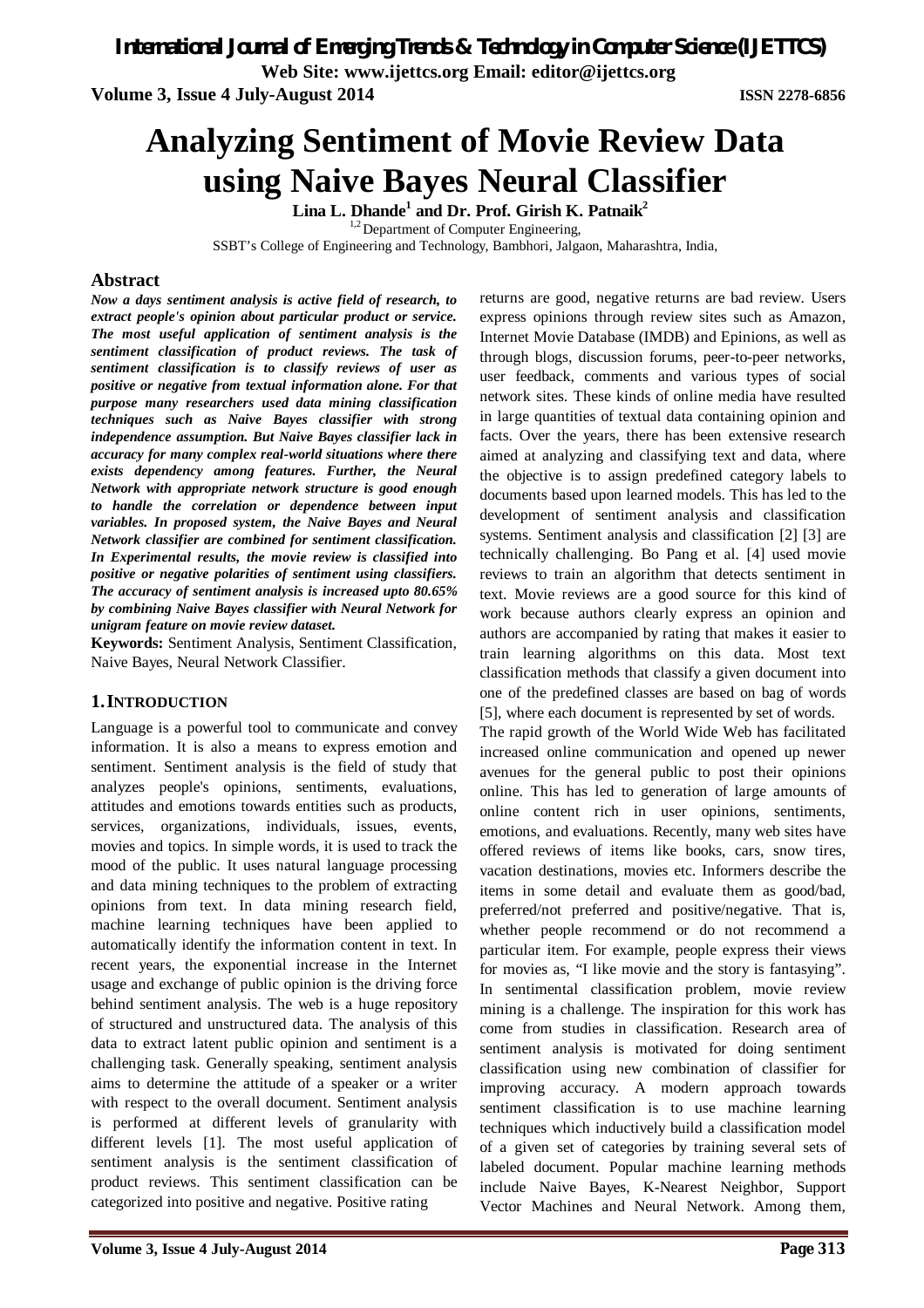*International Journal of Emerging Trends & Technology in Computer Science (IJETTCS)*

**Web Site: www.ijettcs.org Email: editor@ijettcs.org** 

**Volume 3, Issue 4 July-August 2014 ISSN 2278-6856**

# **Analyzing Sentiment of Movie Review Data using Naive Bayes Neural Classifier**

**Lina L. Dhande<sup>1</sup> and Dr. Prof. Girish K. Patnaik<sup>2</sup>**

 $1,2$  Department of Computer Engineering,

SSBT's College of Engineering and Technology, Bambhori, Jalgaon, Maharashtra, India,

### **Abstract**

*Now a days sentiment analysis is active field of research, to extract people's opinion about particular product or service. The most useful application of sentiment analysis is the sentiment classification of product reviews. The task of sentiment classification is to classify reviews of user as positive or negative from textual information alone. For that purpose many researchers used data mining classification techniques such as Naive Bayes classifier with strong independence assumption. But Naive Bayes classifier lack in accuracy for many complex real-world situations where there exists dependency among features. Further, the Neural Network with appropriate network structure is good enough to handle the correlation or dependence between input variables. In proposed system, the Naive Bayes and Neural Network classifier are combined for sentiment classification. In Experimental results, the movie review is classified into positive or negative polarities of sentiment using classifiers. The accuracy of sentiment analysis is increased upto 80.65% by combining Naive Bayes classifier with Neural Network for unigram feature on movie review dataset.*

**Keywords:** Sentiment Analysis, Sentiment Classification, Naive Bayes, Neural Network Classifier.

#### **1.INTRODUCTION**

Language is a powerful tool to communicate and convey information. It is also a means to express emotion and sentiment. Sentiment analysis is the field of study that analyzes people's opinions, sentiments, evaluations, attitudes and emotions towards entities such as products, services, organizations, individuals, issues, events, movies and topics. In simple words, it is used to track the mood of the public. It uses natural language processing and data mining techniques to the problem of extracting opinions from text. In data mining research field, machine learning techniques have been applied to automatically identify the information content in text. In recent years, the exponential increase in the Internet usage and exchange of public opinion is the driving force behind sentiment analysis. The web is a huge repository of structured and unstructured data. The analysis of this data to extract latent public opinion and sentiment is a challenging task. Generally speaking, sentiment analysis aims to determine the attitude of a speaker or a writer with respect to the overall document. Sentiment analysis is performed at different levels of granularity with different levels [1]. The most useful application of sentiment analysis is the sentiment classification of product reviews. This sentiment classification can be categorized into positive and negative. Positive rating

returns are good, negative returns are bad review. Users express opinions through review sites such as Amazon, Internet Movie Database (IMDB) and Epinions, as well as through blogs, discussion forums, peer-to-peer networks, user feedback, comments and various types of social network sites. These kinds of online media have resulted in large quantities of textual data containing opinion and facts. Over the years, there has been extensive research aimed at analyzing and classifying text and data, where the objective is to assign predefined category labels to documents based upon learned models. This has led to the development of sentiment analysis and classification systems. Sentiment analysis and classification [2] [3] are technically challenging. Bo Pang et al. [4] used movie reviews to train an algorithm that detects sentiment in text. Movie reviews are a good source for this kind of work because authors clearly express an opinion and authors are accompanied by rating that makes it easier to train learning algorithms on this data. Most text classification methods that classify a given document into one of the predefined classes are based on bag of words [5], where each document is represented by set of words.

The rapid growth of the World Wide Web has facilitated increased online communication and opened up newer avenues for the general public to post their opinions online. This has led to generation of large amounts of online content rich in user opinions, sentiments, emotions, and evaluations. Recently, many web sites have offered reviews of items like books, cars, snow tires, vacation destinations, movies etc. Informers describe the items in some detail and evaluate them as good/bad, preferred/not preferred and positive/negative. That is, whether people recommend or do not recommend a particular item. For example, people express their views for movies as, "I like movie and the story is fantasying". In sentimental classification problem, movie review mining is a challenge. The inspiration for this work has come from studies in classification. Research area of sentiment analysis is motivated for doing sentiment classification using new combination of classifier for improving accuracy. A modern approach towards sentiment classification is to use machine learning techniques which inductively build a classification model of a given set of categories by training several sets of labeled document. Popular machine learning methods include Naive Bayes, K-Nearest Neighbor, Support Vector Machines and Neural Network. Among them,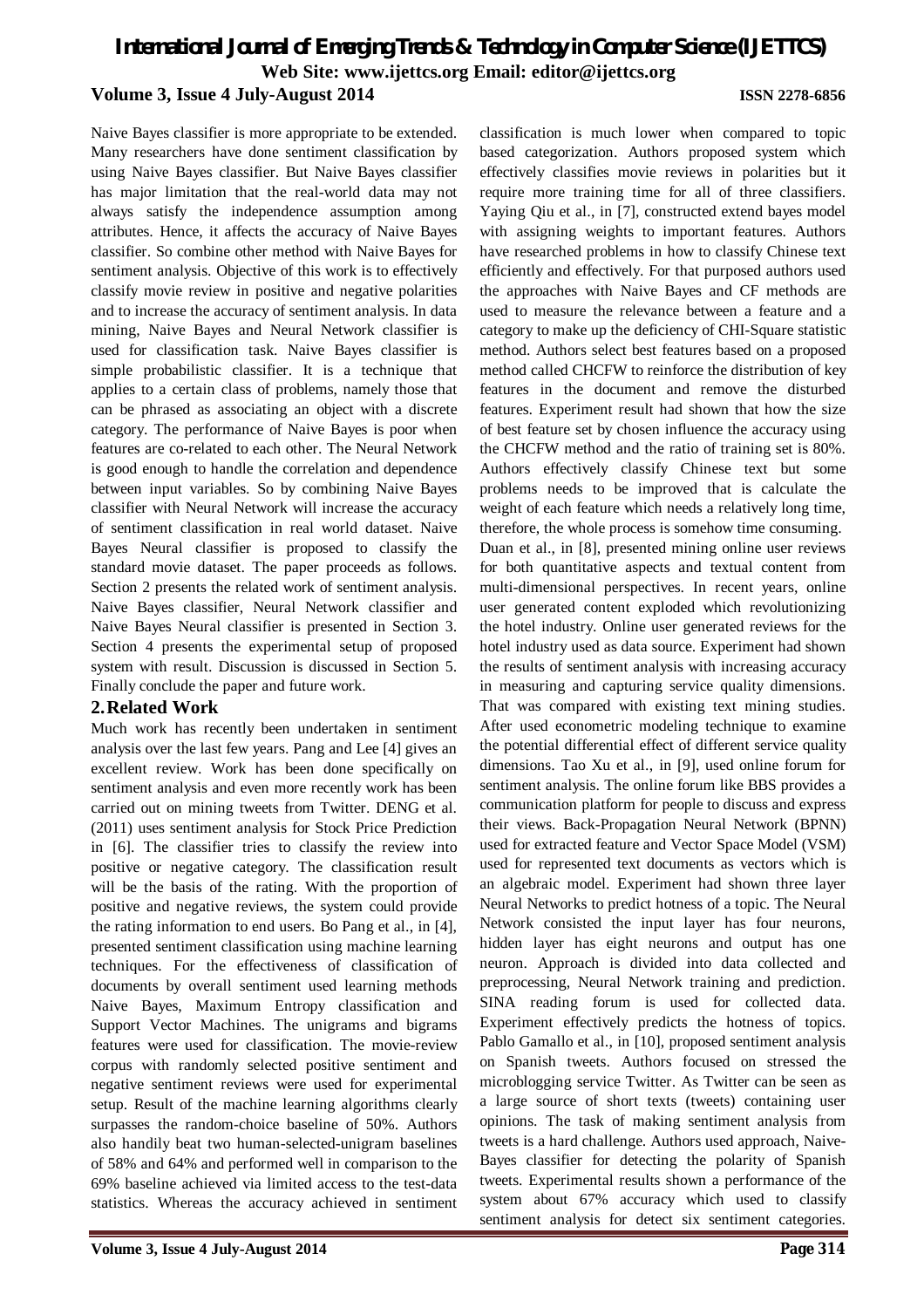Naive Bayes classifier is more appropriate to be extended. Many researchers have done sentiment classification by using Naive Bayes classifier. But Naive Bayes classifier has major limitation that the real-world data may not always satisfy the independence assumption among attributes. Hence, it affects the accuracy of Naive Bayes classifier. So combine other method with Naive Bayes for sentiment analysis. Objective of this work is to effectively classify movie review in positive and negative polarities and to increase the accuracy of sentiment analysis. In data mining, Naive Bayes and Neural Network classifier is used for classification task. Naive Bayes classifier is simple probabilistic classifier. It is a technique that applies to a certain class of problems, namely those that can be phrased as associating an object with a discrete category. The performance of Naive Bayes is poor when features are co-related to each other. The Neural Network is good enough to handle the correlation and dependence between input variables. So by combining Naive Bayes classifier with Neural Network will increase the accuracy of sentiment classification in real world dataset. Naive Bayes Neural classifier is proposed to classify the standard movie dataset. The paper proceeds as follows. Section 2 presents the related work of sentiment analysis. Naive Bayes classifier, Neural Network classifier and Naive Bayes Neural classifier is presented in Section 3. Section 4 presents the experimental setup of proposed system with result. Discussion is discussed in Section 5. Finally conclude the paper and future work.

#### **2.Related Work**

Much work has recently been undertaken in sentiment analysis over the last few years. Pang and Lee [4] gives an excellent review. Work has been done specifically on sentiment analysis and even more recently work has been carried out on mining tweets from Twitter. DENG et al. (2011) uses sentiment analysis for Stock Price Prediction in [6]. The classifier tries to classify the review into positive or negative category. The classification result will be the basis of the rating. With the proportion of positive and negative reviews, the system could provide the rating information to end users. Bo Pang et al., in [4], presented sentiment classification using machine learning techniques. For the effectiveness of classification of documents by overall sentiment used learning methods Naive Bayes, Maximum Entropy classification and Support Vector Machines. The unigrams and bigrams features were used for classification. The movie-review corpus with randomly selected positive sentiment and negative sentiment reviews were used for experimental setup. Result of the machine learning algorithms clearly surpasses the random-choice baseline of 50%. Authors also handily beat two human-selected-unigram baselines of 58% and 64% and performed well in comparison to the 69% baseline achieved via limited access to the test-data statistics. Whereas the accuracy achieved in sentiment

classification is much lower when compared to topic based categorization. Authors proposed system which effectively classifies movie reviews in polarities but it require more training time for all of three classifiers. Yaying Qiu et al., in [7], constructed extend bayes model with assigning weights to important features. Authors have researched problems in how to classify Chinese text efficiently and effectively. For that purposed authors used the approaches with Naive Bayes and CF methods are used to measure the relevance between a feature and a category to make up the deficiency of CHI-Square statistic method. Authors select best features based on a proposed method called CHCFW to reinforce the distribution of key features in the document and remove the disturbed features. Experiment result had shown that how the size of best feature set by chosen influence the accuracy using the CHCFW method and the ratio of training set is 80%. Authors effectively classify Chinese text but some problems needs to be improved that is calculate the weight of each feature which needs a relatively long time, therefore, the whole process is somehow time consuming. Duan et al., in [8], presented mining online user reviews for both quantitative aspects and textual content from multi-dimensional perspectives. In recent years, online user generated content exploded which revolutionizing the hotel industry. Online user generated reviews for the hotel industry used as data source. Experiment had shown the results of sentiment analysis with increasing accuracy in measuring and capturing service quality dimensions. That was compared with existing text mining studies. After used econometric modeling technique to examine the potential differential effect of different service quality dimensions. Tao Xu et al., in [9], used online forum for sentiment analysis. The online forum like BBS provides a communication platform for people to discuss and express their views. Back-Propagation Neural Network (BPNN) used for extracted feature and Vector Space Model (VSM) used for represented text documents as vectors which is an algebraic model. Experiment had shown three layer Neural Networks to predict hotness of a topic. The Neural Network consisted the input layer has four neurons, hidden layer has eight neurons and output has one neuron. Approach is divided into data collected and preprocessing, Neural Network training and prediction. SINA reading forum is used for collected data. Experiment effectively predicts the hotness of topics. Pablo Gamallo et al., in [10], proposed sentiment analysis on Spanish tweets. Authors focused on stressed the microblogging service Twitter. As Twitter can be seen as a large source of short texts (tweets) containing user opinions. The task of making sentiment analysis from tweets is a hard challenge. Authors used approach, Naive-Bayes classifier for detecting the polarity of Spanish tweets. Experimental results shown a performance of the system about 67% accuracy which used to classify sentiment analysis for detect six sentiment categories.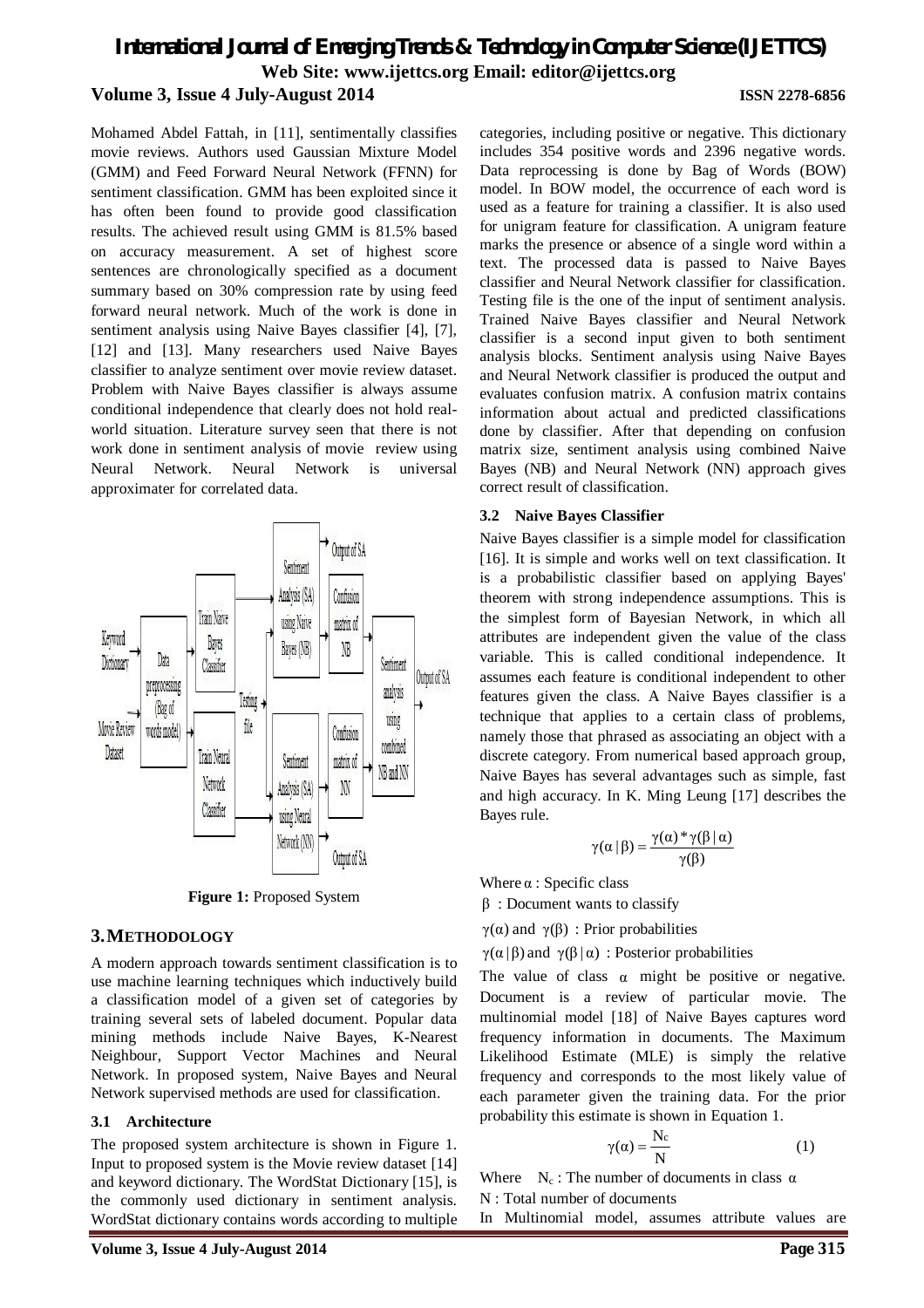Mohamed Abdel Fattah, in [11], sentimentally classifies movie reviews. Authors used Gaussian Mixture Model (GMM) and Feed Forward Neural Network (FFNN) for sentiment classification. GMM has been exploited since it has often been found to provide good classification results. The achieved result using GMM is 81.5% based on accuracy measurement. A set of highest score sentences are chronologically specified as a document summary based on 30% compression rate by using feed forward neural network. Much of the work is done in sentiment analysis using Naive Bayes classifier [4], [7], [12] and [13]. Many researchers used Naive Bayes classifier to analyze sentiment over movie review dataset. Problem with Naive Bayes classifier is always assume conditional independence that clearly does not hold realworld situation. Literature survey seen that there is not work done in sentiment analysis of movie review using Neural Network. Neural Network is universal approximater for correlated data.



**Figure 1:** Proposed System

#### **3.METHODOLOGY**

A modern approach towards sentiment classification is to use machine learning techniques which inductively build a classification model of a given set of categories by training several sets of labeled document. Popular data mining methods include Naive Bayes, K-Nearest Neighbour, Support Vector Machines and Neural Network. In proposed system, Naive Bayes and Neural Network supervised methods are used for classification.

#### **3.1 Architecture**

The proposed system architecture is shown in Figure 1. Input to proposed system is the Movie review dataset [14] and keyword dictionary. The WordStat Dictionary [15], is the commonly used dictionary in sentiment analysis. WordStat dictionary contains words according to multiple categories, including positive or negative. This dictionary includes 354 positive words and 2396 negative words. Data reprocessing is done by Bag of Words (BOW) model. In BOW model, the occurrence of each word is used as a feature for training a classifier. It is also used for unigram feature for classification. A unigram feature marks the presence or absence of a single word within a text. The processed data is passed to Naive Bayes classifier and Neural Network classifier for classification. Testing file is the one of the input of sentiment analysis. Trained Naive Bayes classifier and Neural Network classifier is a second input given to both sentiment analysis blocks. Sentiment analysis using Naive Bayes and Neural Network classifier is produced the output and evaluates confusion matrix. A confusion matrix contains information about actual and predicted classifications done by classifier. After that depending on confusion matrix size, sentiment analysis using combined Naive Bayes (NB) and Neural Network (NN) approach gives correct result of classification.

#### **3.2 Naive Bayes Classifier**

Naive Bayes classifier is a simple model for classification [16]. It is simple and works well on text classification. It is a probabilistic classifier based on applying Bayes' theorem with strong independence assumptions. This is the simplest form of Bayesian Network, in which all attributes are independent given the value of the class variable. This is called conditional independence. It assumes each feature is conditional independent to other features given the class. A Naive Bayes classifier is a technique that applies to a certain class of problems, namely those that phrased as associating an object with a discrete category. From numerical based approach group, Naive Bayes has several advantages such as simple, fast and high accuracy. In K. Ming Leung [17] describes the Bayes rule.

$$
\gamma(\alpha \, | \, \beta) = \frac{\gamma(\alpha) * \gamma(\beta \, | \, \alpha)}{\gamma(\beta)}
$$

Where  $\alpha$  : Specific class

 $β:$  Document wants to classify

γ(α) and γ(β) : Prior probabilities

 $\gamma(\alpha | \beta)$  and  $\gamma(\beta | \alpha)$ : Posterior probabilities

The value of class  $\alpha$  might be positive or negative. Document is a review of particular movie. The multinomial model [18] of Naive Bayes captures word frequency information in documents. The Maximum Likelihood Estimate (MLE) is simply the relative frequency and corresponds to the most likely value of each parameter given the training data. For the prior probability this estimate is shown in Equation 1.

$$
\gamma(\alpha) = \frac{N_c}{N} \tag{1}
$$

Where  $N_c$ : The number of documents in class  $\alpha$ N : Total number of documents

In Multinomial model, assumes attribute values are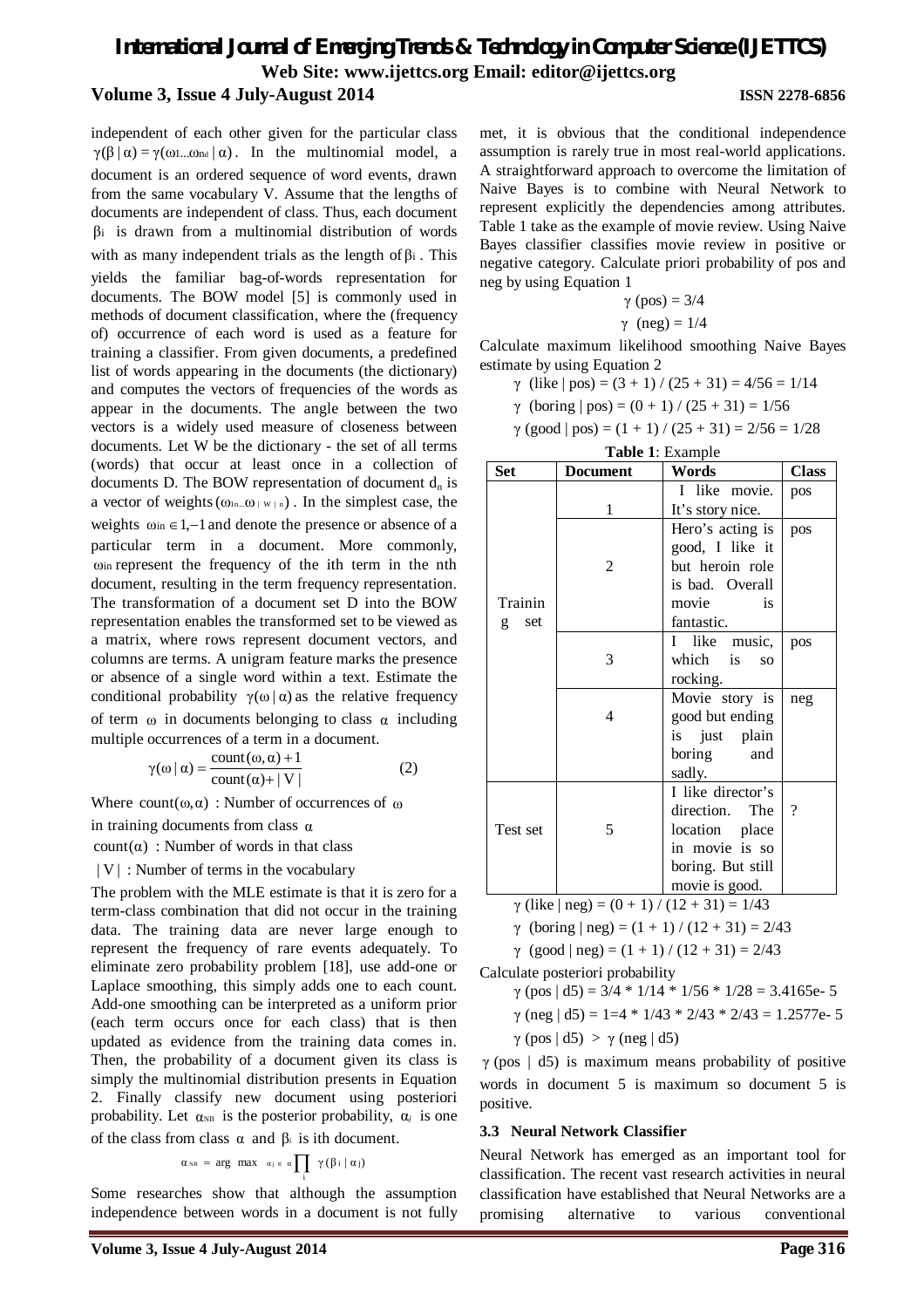independent of each other given for the particular class  $\gamma(\beta | \alpha) = \gamma(\omega) \dots \omega_{\text{nd}} | \alpha)$ . In the multinomial model, a document is an ordered sequence of word events, drawn from the same vocabulary V. Assume that the lengths of documents are independent of class. Thus, each document β<sup>i</sup> is drawn from a multinomial distribution of words with as many independent trials as the length of  $β<sub>i</sub>$ . This yields the familiar bag-of-words representation for documents. The BOW model [5] is commonly used in methods of document classification, where the (frequency of) occurrence of each word is used as a feature for training a classifier. From given documents, a predefined list of words appearing in the documents (the dictionary) and computes the vectors of frequencies of the words as appear in the documents. The angle between the two vectors is a widely used measure of closeness between documents. Let W be the dictionary - the set of all terms (words) that occur at least once in a collection of documents D. The BOW representation of document  $d_n$  is a vector of weights  $(\omega_{1n}...\omega_{|\mathbf{W}|\mathbf{n}})$ . In the simplest case, the weights  $\omega_{in} \in 1, -1$  and denote the presence or absence of a particular term in a document. More commonly, ωin represent the frequency of the ith term in the nth document, resulting in the term frequency representation. The transformation of a document set D into the BOW representation enables the transformed set to be viewed as a matrix, where rows represent document vectors, and columns are terms. A unigram feature marks the presence or absence of a single word within a text. Estimate the conditional probability  $\gamma(\omega|\alpha)$  as the relative frequency of term  $\omega$  in documents belonging to class  $\alpha$  including multiple occurrences of a term in a document.

$$
\gamma(\omega \mid \alpha) = \frac{\text{count}(\omega, \alpha) + 1}{\text{count}(\alpha) + |V|}
$$
 (2)

Where  $count(\omega, \alpha)$ : Number of occurrences of  $\omega$ 

in training documents from class  $\alpha$ 

count( $\alpha$ ) : Number of words in that class

| V | : Number of terms in the vocabulary

The problem with the MLE estimate is that it is zero for a term-class combination that did not occur in the training data. The training data are never large enough to represent the frequency of rare events adequately. To eliminate zero probability problem [18], use add-one or Laplace smoothing, this simply adds one to each count. Add-one smoothing can be interpreted as a uniform prior (each term occurs once for each class) that is then updated as evidence from the training data comes in. Then, the probability of a document given its class is simply the multinomial distribution presents in Equation 2. Finally classify new document using posteriori probability. Let  $\alpha_{NB}$  is the posterior probability,  $\alpha_j$  is one of the class from class α and β*<sup>i</sup>* is ith document.

$$
\alpha_{\text{NB}} = \text{arg max} \quad \alpha_i \in \alpha \prod_i \ \gamma(\beta \, i \mid \alpha_j)
$$

Some researches show that although the assumption independence between words in a document is not fully

met, it is obvious that the conditional independence assumption is rarely true in most real-world applications. A straightforward approach to overcome the limitation of Naive Bayes is to combine with Neural Network to represent explicitly the dependencies among attributes. Table 1 take as the example of movie review. Using Naive Bayes classifier classifies movie review in positive or negative category. Calculate priori probability of pos and neg by using Equation 1

$$
\gamma (pos) = 3/4
$$
  

$$
\gamma (neg) = 1/4
$$

Calculate maximum likelihood smoothing Naive Bayes estimate by using Equation 2

$$
\gamma
$$
 (like | pos) = (3 + 1) / (25 + 31) = 4/56 = 1/14

 $γ$  (boring  $|pos$ ) = (0 + 1) / (25 + 31) = 1/56

 $γ (good | pos) = (1 + 1) / (25 + 31) = 2/56 = 1/28$ 

| <b>Table 1: Example</b>                             |                 |                                                                                                                |              |  |
|-----------------------------------------------------|-----------------|----------------------------------------------------------------------------------------------------------------|--------------|--|
| Set                                                 | <b>Document</b> | Words                                                                                                          | <b>Class</b> |  |
|                                                     | 1               | I like movie.<br>It's story nice.                                                                              | pos          |  |
| Trainin<br>set<br>g                                 | 2               | Hero's acting is<br>good, I like it<br>but heroin role<br>is bad. Overall<br>is<br>movie<br>fantastic.         | pos          |  |
|                                                     | 3               | I like music,<br>which is<br>SO.<br>rocking.                                                                   | pos          |  |
|                                                     | 4               | Movie story is<br>good but ending<br>is just plain<br>boring<br>and<br>sadly.                                  | neg          |  |
| Test set                                            | 5               | I like director's<br>direction. The<br>location place<br>in movie is so<br>boring. But still<br>movie is good. | ?            |  |
| $\gamma$ (like $ neg  = (0 + 1) / (12 + 31) = 1/43$ |                 |                                                                                                                |              |  |

 $\gamma$  (like | neg) =  $(0 + 1) / (12 + 31) = 1/43$ 

$$
\gamma
$$
 (boring | neg) = (1 + 1) / (12 + 31) = 2/43

 $γ (good | neg) = (1 + 1) / (12 + 31) = 2/43$ 

Calculate posteriori probability

- $γ (pos | d5) = 3/4 * 1/14 * 1/56 * 1/28 = 3.4165e-5$
- $\gamma$  (neg | d5) = 1=4  $*$  1/43  $*$  2/43  $*$  2/43 = 1.2577e- 5

 $γ (pos | d5) > γ (neg | d5)$ 

 $\gamma$  (pos | d5) is maximum means probability of positive words in document 5 is maximum so document 5 is positive.

#### **3.3 Neural Network Classifier**

Neural Network has emerged as an important tool for classification. The recent vast research activities in neural classification have established that Neural Networks are a promising alternative to various conventional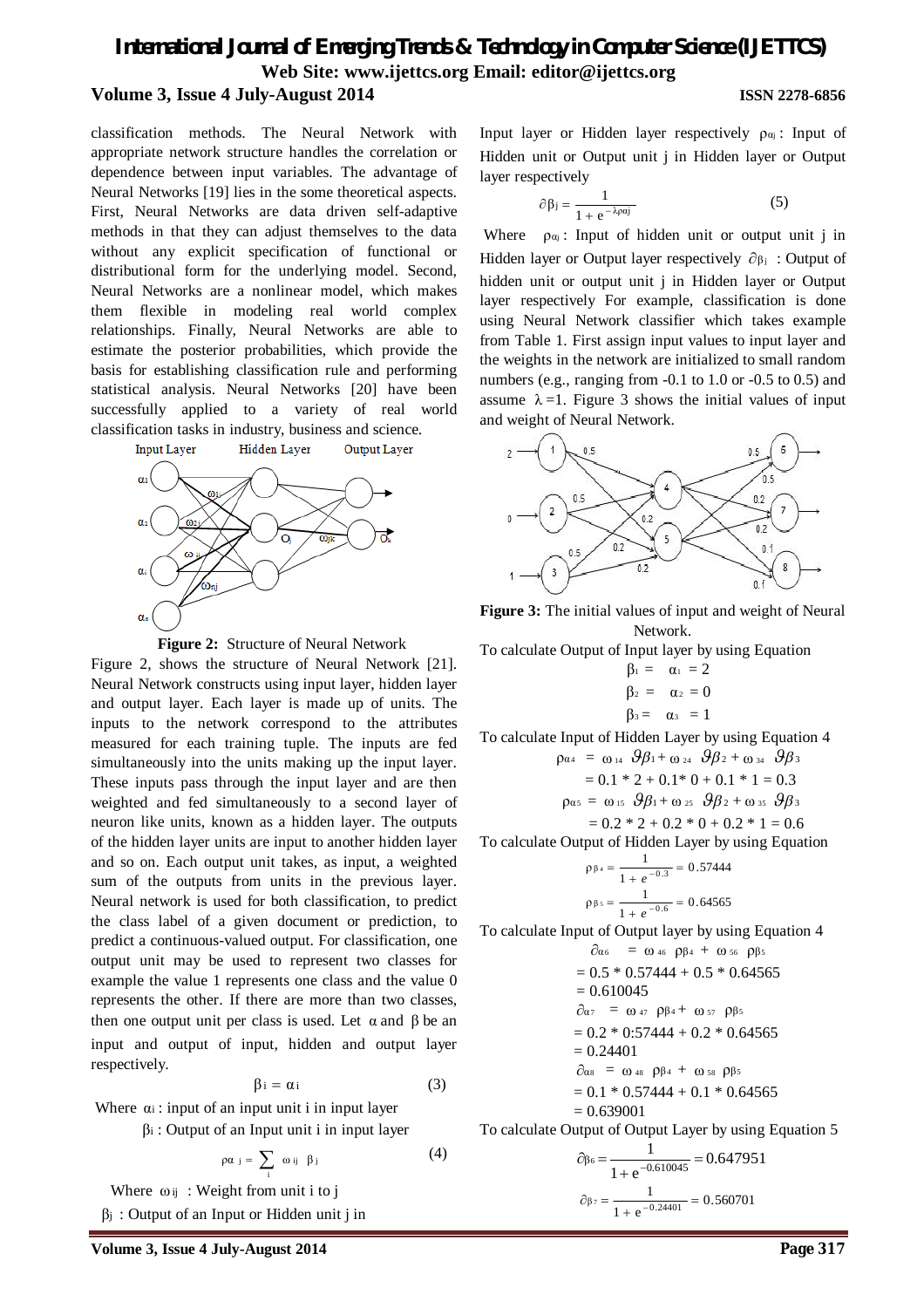classification methods. The Neural Network with appropriate network structure handles the correlation or dependence between input variables. The advantage of Neural Networks [19] lies in the some theoretical aspects. First, Neural Networks are data driven self-adaptive methods in that they can adjust themselves to the data without any explicit specification of functional or distributional form for the underlying model. Second, Neural Networks are a nonlinear model, which makes them flexible in modeling real world complex relationships. Finally, Neural Networks are able to estimate the posterior probabilities, which provide the basis for establishing classification rule and performing statistical analysis. Neural Networks [20] have been successfully applied to a variety of real world classification tasks in industry, business and science.





Figure 2, shows the structure of Neural Network [21]. Neural Network constructs using input layer, hidden layer and output layer. Each layer is made up of units. The inputs to the network correspond to the attributes measured for each training tuple. The inputs are fed simultaneously into the units making up the input layer. These inputs pass through the input layer and are then weighted and fed simultaneously to a second layer of neuron like units, known as a hidden layer. The outputs of the hidden layer units are input to another hidden layer and so on. Each output unit takes, as input, a weighted sum of the outputs from units in the previous layer. Neural network is used for both classification, to predict the class label of a given document or prediction, to predict a continuous-valued output. For classification, one output unit may be used to represent two classes for example the value 1 represents one class and the value 0 represents the other. If there are more than two classes, then one output unit per class is used. Let  $\alpha$  and  $\beta$  be an input and output of input, hidden and output layer respectively.

$$
\beta i = \alpha i \tag{3}
$$

Where  $\alpha_i$ : input of an input unit i in input layer β<sup>i</sup> : Output of an Input unit i in input layer

$$
\rho \alpha_j = \sum_i \omega_{ij} \beta_j \tag{4}
$$

Where  $\omega_{ij}$ : Weight from unit i to j

 $\beta_j$ : Output of an Input or Hidden unit j in

Input layer or Hidden layer respectively  $\rho_{\alpha j}$ : Input of Hidden unit or Output unit j in Hidden layer or Output layer respectively

$$
\partial \beta_j = \frac{1}{1 + e^{-\lambda_j \alpha_j}}\tag{5}
$$

Where  $\rho_{\alpha j}$ : Input of hidden unit or output unit j in Hidden layer or Output layer respectively  $\partial \beta_i$ : Output of hidden unit or output unit j in Hidden layer or Output layer respectively For example, classification is done using Neural Network classifier which takes example from Table 1. First assign input values to input layer and the weights in the network are initialized to small random numbers (e.g., ranging from -0.1 to 1.0 or -0.5 to 0.5) and assume  $\lambda = 1$ . Figure 3 shows the initial values of input and weight of Neural Network.



**Figure 3:** The initial values of input and weight of Neural Network.

To calculate Output of Input layer by using Equation

$$
\beta_1 = \alpha_1 = 2
$$
  
\n
$$
\beta_2 = \alpha_2 = 0
$$
  
\n
$$
\beta_3 = \alpha_3 = 1
$$

To calculate Input of Hidden Layer by using Equation 4

$$
\rho_{\alpha4} = \omega_{14} \cdot \mathcal{G} \beta_{1} + \omega_{24} \cdot \mathcal{G} \beta_{2} + \omega_{34} \cdot \mathcal{G} \beta_{3}
$$
  
= 0.1 \* 2 + 0.1 \* 0 + 0.1 \* 1 = 0.3  

$$
\rho_{\alpha5} = \omega_{15} \cdot \mathcal{G} \beta_{1} + \omega_{25} \cdot \mathcal{G} \beta_{2} + \omega_{35} \cdot \mathcal{G} \beta_{3}
$$

$$
= 0.2 * 2 + 0.2 * 0 + 0.2 * 1 = 0.6
$$

To calculate Output of Hidden Layer by using Equation

$$
\rho_{\beta_4} = \frac{1}{1 + e^{-0.3}} = 0.57444
$$

$$
\rho_{\beta_5} = \frac{1}{1 + e^{-0.6}} = 0.64565
$$

To calculate Input of Output layer by using Equation 4

$$
\partial_{\alpha 6} = \omega_{46} \rho_{\beta 4} + \omega_{56} \rho_{\beta 5}
$$
\n= 0.5 \* 0.57444 + 0.5 \* 0.64565  
\n= 0.610045  
\n
$$
\partial_{\alpha 7} = \omega_{47} \rho_{\beta 4} + \omega_{57} \rho_{\beta 5}
$$
\n= 0.2 \* 0.57444 + 0.2 \* 0.64565  
\n= 0.24401  
\n
$$
\partial_{\alpha s} = \omega_{48} \rho_{\beta 4} + \omega_{58} \rho_{\beta 5}
$$
\n= 0.1 \* 0.57444 + 0.1 \* 0.64565  
\n= 0.639001

To calculate Output of Output Layer by using Equation 5

$$
\partial_{\beta_6} = \frac{1}{1 + e^{-0.610045}} = 0.647951
$$

$$
\partial_{\beta_7} = \frac{1}{1 + e^{-0.24401}} = 0.560701
$$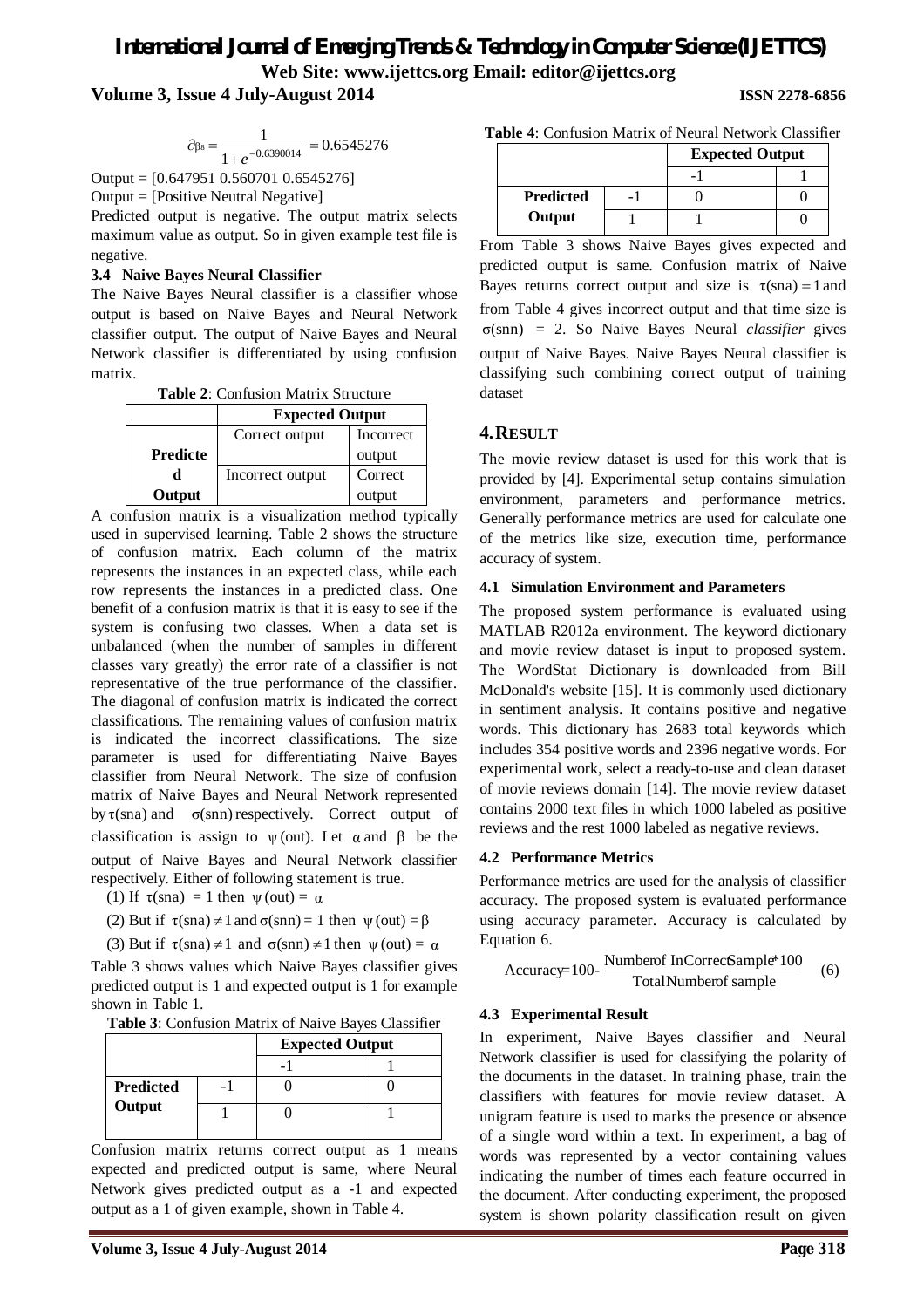# *International Journal of Emerging Trends & Technology in Computer Science (IJETTCS)* **Web Site: www.ijettcs.org Email: editor@ijettcs.org**

**Volume 3, Issue 4 July-August 2014 ISSN 2278-6856**

$$
\partial_{\beta s} = \frac{1}{1 + e^{-0.6390014}} = 0.6545276
$$

Output = [0.647951 0.560701 0.6545276]

Output = [Positive Neutral Negative]

Predicted output is negative. The output matrix selects maximum value as output. So in given example test file is negative.

#### **3.4 Naive Bayes Neural Classifier**

The Naive Bayes Neural classifier is a classifier whose output is based on Naive Bayes and Neural Network classifier output. The output of Naive Bayes and Neural Network classifier is differentiated by using confusion matrix.

**Table 2**: Confusion Matrix Structure

|                 | <b>Expected Output</b> |           |
|-----------------|------------------------|-----------|
|                 | Correct output         | Incorrect |
| <b>Predicte</b> |                        | output    |
| d               | Incorrect output       | Correct   |
| Output          |                        | output    |

A confusion matrix is a visualization method typically used in supervised learning. Table 2 shows the structure of confusion matrix. Each column of the matrix represents the instances in an expected class, while each row represents the instances in a predicted class. One benefit of a confusion matrix is that it is easy to see if the system is confusing two classes. When a data set is unbalanced (when the number of samples in different classes vary greatly) the error rate of a classifier is not representative of the true performance of the classifier. The diagonal of confusion matrix is indicated the correct classifications. The remaining values of confusion matrix is indicated the incorrect classifications. The size parameter is used for differentiating Naive Bayes classifier from Neural Network. The size of confusion matrix of Naive Bayes and Neural Network represented by  $\tau$ (sna) and  $\sigma$ (snn) respectively. Correct output of classification is assign to  $\psi$  (out). Let  $\alpha$  and  $\beta$  be the output of Naive Bayes and Neural Network classifier respectively. Either of following statement is true.

(1) If  $\tau(\text{sna}) = 1$  then  $\psi(\text{out}) = \alpha$ 

(2) But if  $\tau(\text{sna}) \neq 1$  and  $\sigma(\text{snn}) = 1$  then  $\psi(\text{out}) = \beta$ 

(3) But if  $\tau(\text{sna}) \neq 1$  and  $\sigma(\text{snn}) \neq 1$  then  $\psi(\text{out}) = \alpha$ 

Table 3 shows values which Naive Bayes classifier gives predicted output is 1 and expected output is 1 for example shown in Table 1.

**Table 3**: Confusion Matrix of Naive Bayes Classifier

| Predicted |  |
|-----------|--|
| Output    |  |

Confusion matrix returns correct output as 1 means expected and predicted output is same, where Neural Network gives predicted output as a -1 and expected output as a 1 of given example, shown in Table 4.

| <b>Table 4:</b> Confusion Matrix of Neural Network Classifier |  |
|---------------------------------------------------------------|--|
|---------------------------------------------------------------|--|

|                  | <b>Expected Output</b> |  |
|------------------|------------------------|--|
|                  |                        |  |
| <b>Predicted</b> |                        |  |
| Output           |                        |  |

From Table 3 shows Naive Bayes gives expected and predicted output is same. Confusion matrix of Naive Bayes returns correct output and size is  $\tau(sna) = 1$  and from Table 4 gives incorrect output and that time size is σ(snn) = 2. So Naive Bayes Neural *classifier* gives output of Naive Bayes. Naive Bayes Neural classifier is classifying such combining correct output of training dataset

## **4.RESULT**

The movie review dataset is used for this work that is provided by [4]. Experimental setup contains simulation environment, parameters and performance metrics. Generally performance metrics are used for calculate one of the metrics like size, execution time, performance accuracy of system.

#### **4.1 Simulation Environment and Parameters**

The proposed system performance is evaluated using MATLAB R2012a environment. The keyword dictionary and movie review dataset is input to proposed system. The WordStat Dictionary is downloaded from Bill McDonald's website [15]. It is commonly used dictionary in sentiment analysis. It contains positive and negative words. This dictionary has 2683 total keywords which includes 354 positive words and 2396 negative words. For experimental work, select a ready-to-use and clean dataset of movie reviews domain [14]. The movie review dataset contains 2000 text files in which 1000 labeled as positive reviews and the rest 1000 labeled as negative reviews.

#### **4.2 Performance Metrics**

Performance metrics are used for the analysis of classifier accuracy. The proposed system is evaluated performance using accuracy parameter. Accuracy is calculated by Equation 6.

$$
Accuracy=100-\frac{Number of InCorrectample*100}{TotalNumber of sample}
$$
 (6)

#### **4.3 Experimental Result**

In experiment, Naive Bayes classifier and Neural Network classifier is used for classifying the polarity of the documents in the dataset. In training phase, train the classifiers with features for movie review dataset. A unigram feature is used to marks the presence or absence of a single word within a text. In experiment, a bag of words was represented by a vector containing values indicating the number of times each feature occurred in the document. After conducting experiment, the proposed system is shown polarity classification result on given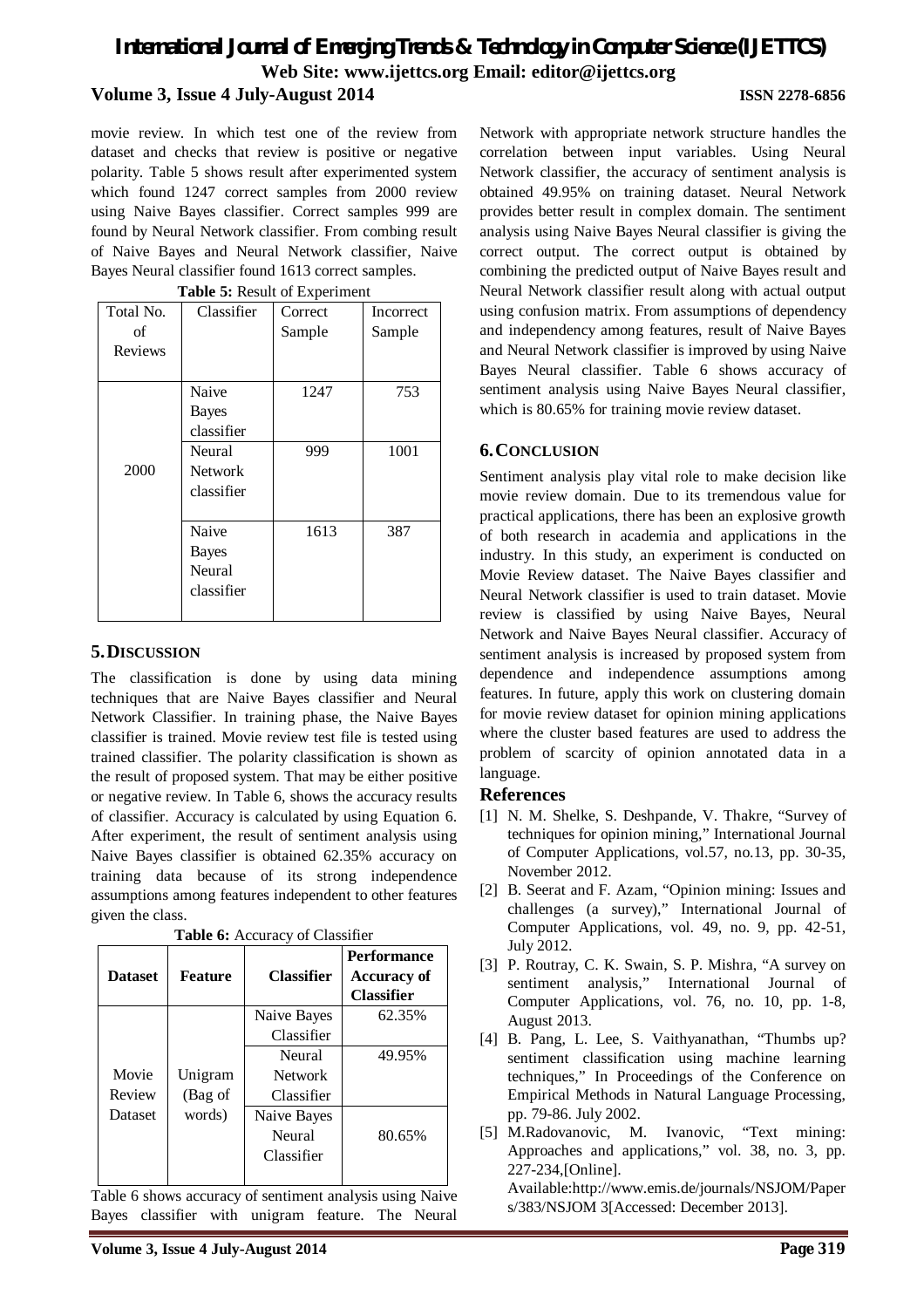movie review. In which test one of the review from dataset and checks that review is positive or negative polarity. Table 5 shows result after experimented system which found 1247 correct samples from 2000 review using Naive Bayes classifier. Correct samples 999 are found by Neural Network classifier. From combing result of Naive Bayes and Neural Network classifier, Naive Bayes Neural classifier found 1613 correct samples.

| <b>Table 5: Result of Experiment</b> |                |         |           |  |
|--------------------------------------|----------------|---------|-----------|--|
| Total No.                            | Classifier     | Correct | Incorrect |  |
| of                                   |                | Sample  | Sample    |  |
| Reviews                              |                |         |           |  |
|                                      |                |         |           |  |
|                                      | Naive          | 1247    | 753       |  |
|                                      | <b>Bayes</b>   |         |           |  |
|                                      | classifier     |         |           |  |
|                                      | Neural         | 999     | 1001      |  |
| 2000                                 | <b>Network</b> |         |           |  |
|                                      | classifier     |         |           |  |
|                                      |                |         |           |  |
|                                      | Naive          | 1613    | 387       |  |
|                                      | <b>Bayes</b>   |         |           |  |
|                                      | Neural         |         |           |  |
|                                      | classifier     |         |           |  |
|                                      |                |         |           |  |

### **5.DISCUSSION**

The classification is done by using data mining techniques that are Naive Bayes classifier and Neural Network Classifier. In training phase, the Naive Bayes classifier is trained. Movie review test file is tested using trained classifier. The polarity classification is shown as the result of proposed system. That may be either positive or negative review. In Table 6, shows the accuracy results of classifier. Accuracy is calculated by using Equation 6. After experiment, the result of sentiment analysis using Naive Bayes classifier is obtained 62.35% accuracy on training data because of its strong independence assumptions among features independent to other features given the class.

| <b>Dataset</b> | <b>Feature</b> | <b>Classifier</b> | <b>Performance</b><br>Accuracy of<br><b>Classifier</b> |
|----------------|----------------|-------------------|--------------------------------------------------------|
|                |                | Naive Bayes       | 62.35%                                                 |
|                |                | Classifier        |                                                        |
|                |                | Neural            | 49.95%                                                 |
| Movie          | Unigram        | <b>Network</b>    |                                                        |
| Review         | (Bag of        | Classifier        |                                                        |
| Dataset        | words)         | Naive Bayes       |                                                        |
|                |                | Neural            | 80.65%                                                 |
|                |                | Classifier        |                                                        |
|                |                |                   |                                                        |

**Table 6:** Accuracy of Classifier

Table 6 shows accuracy of sentiment analysis using Naive Bayes classifier with unigram feature. The Neural

Network with appropriate network structure handles the correlation between input variables. Using Neural Network classifier, the accuracy of sentiment analysis is obtained 49.95% on training dataset. Neural Network provides better result in complex domain. The sentiment analysis using Naive Bayes Neural classifier is giving the correct output. The correct output is obtained by combining the predicted output of Naive Bayes result and Neural Network classifier result along with actual output using confusion matrix. From assumptions of dependency and independency among features, result of Naive Bayes and Neural Network classifier is improved by using Naive Bayes Neural classifier. Table 6 shows accuracy of sentiment analysis using Naive Bayes Neural classifier, which is 80.65% for training movie review dataset.

### **6.CONCLUSION**

Sentiment analysis play vital role to make decision like movie review domain. Due to its tremendous value for practical applications, there has been an explosive growth of both research in academia and applications in the industry. In this study, an experiment is conducted on Movie Review dataset. The Naive Bayes classifier and Neural Network classifier is used to train dataset. Movie review is classified by using Naive Bayes, Neural Network and Naive Bayes Neural classifier. Accuracy of sentiment analysis is increased by proposed system from dependence and independence assumptions among features. In future, apply this work on clustering domain for movie review dataset for opinion mining applications where the cluster based features are used to address the problem of scarcity of opinion annotated data in a language.

#### **References**

- [1] N. M. Shelke, S. Deshpande, V. Thakre, "Survey of techniques for opinion mining," International Journal of Computer Applications, vol.57, no.13, pp. 30-35, November 2012.
- [2] B. Seerat and F. Azam, "Opinion mining: Issues and challenges (a survey)," International Journal of Computer Applications, vol. 49, no. 9, pp. 42-51, July 2012.
- [3] P. Routray, C. K. Swain, S. P. Mishra, "A survey on sentiment analysis," International Journal of Computer Applications, vol. 76, no. 10, pp. 1-8, August 2013.
- [4] B. Pang, L. Lee, S. Vaithyanathan, "Thumbs up? sentiment classification using machine learning techniques," In Proceedings of the Conference on Empirical Methods in Natural Language Processing, pp. 79-86. July 2002.
- [5] M.Radovanovic, M. Ivanovic, "Text mining: Approaches and applications," vol. 38, no. 3, pp. 227-234,[Online].

Available:http://www.emis.de/journals/NSJOM/Paper s/383/NSJOM 3[Accessed: December 2013].